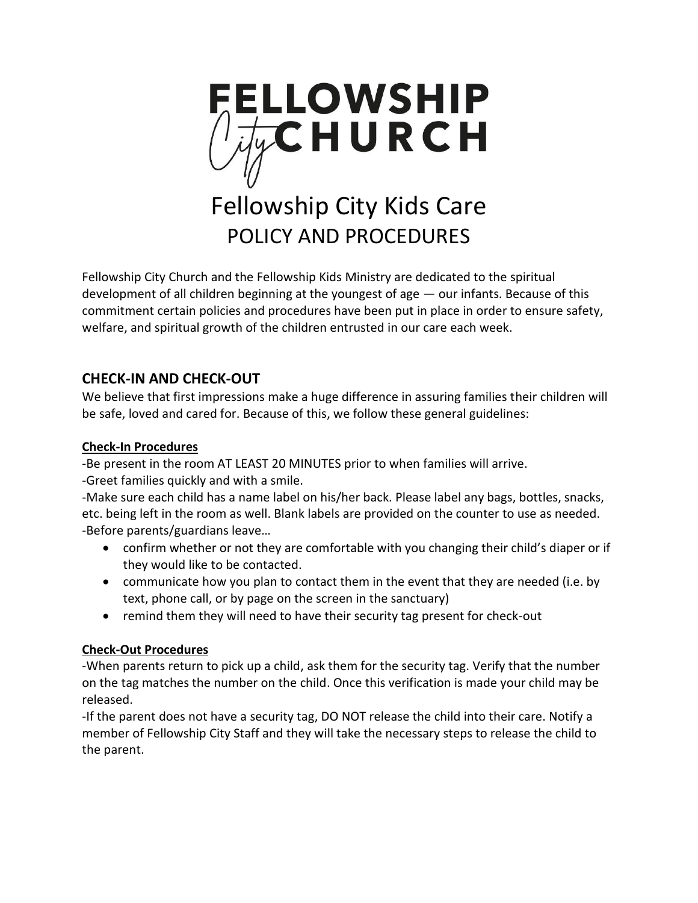

# Fellowship City Kids Care POLICY AND PROCEDURES

Fellowship City Church and the Fellowship Kids Ministry are dedicated to the spiritual development of all children beginning at the youngest of age — our infants. Because of this commitment certain policies and procedures have been put in place in order to ensure safety, welfare, and spiritual growth of the children entrusted in our care each week.

# **CHECK-IN AND CHECK-OUT**

We believe that first impressions make a huge difference in assuring families their children will be safe, loved and cared for. Because of this, we follow these general guidelines:

### **Check-In Procedures**

-Be present in the room AT LEAST 20 MINUTES prior to when families will arrive. -Greet families quickly and with a smile.

-Make sure each child has a name label on his/her back. Please label any bags, bottles, snacks, etc. being left in the room as well. Blank labels are provided on the counter to use as needed. -Before parents/guardians leave…

- confirm whether or not they are comfortable with you changing their child's diaper or if they would like to be contacted.
- communicate how you plan to contact them in the event that they are needed (i.e. by text, phone call, or by page on the screen in the sanctuary)
- remind them they will need to have their security tag present for check-out

### **Check-Out Procedures**

-When parents return to pick up a child, ask them for the security tag. Verify that the number on the tag matches the number on the child. Once this verification is made your child may be released.

-If the parent does not have a security tag, DO NOT release the child into their care. Notify a member of Fellowship City Staff and they will take the necessary steps to release the child to the parent.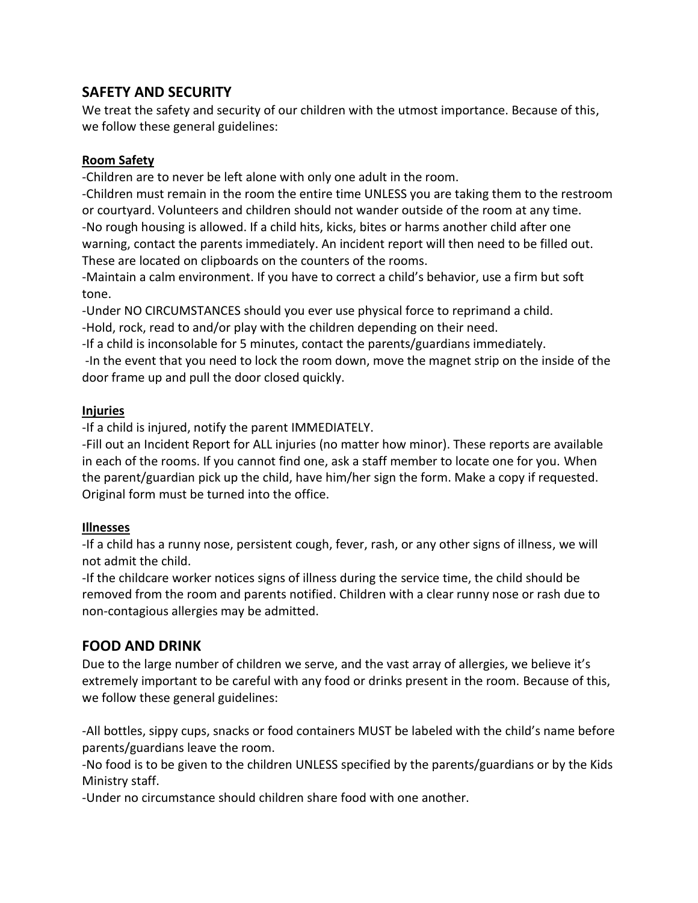## **SAFETY AND SECURITY**

We treat the safety and security of our children with the utmost importance. Because of this, we follow these general guidelines:

#### **Room Safety**

-Children are to never be left alone with only one adult in the room.

-Children must remain in the room the entire time UNLESS you are taking them to the restroom or courtyard. Volunteers and children should not wander outside of the room at any time. -No rough housing is allowed. If a child hits, kicks, bites or harms another child after one warning, contact the parents immediately. An incident report will then need to be filled out. These are located on clipboards on the counters of the rooms.

-Maintain a calm environment. If you have to correct a child's behavior, use a firm but soft tone.

-Under NO CIRCUMSTANCES should you ever use physical force to reprimand a child.

-Hold, rock, read to and/or play with the children depending on their need.

-If a child is inconsolable for 5 minutes, contact the parents/guardians immediately.

-In the event that you need to lock the room down, move the magnet strip on the inside of the door frame up and pull the door closed quickly.

### **Injuries**

-If a child is injured, notify the parent IMMEDIATELY.

-Fill out an Incident Report for ALL injuries (no matter how minor). These reports are available in each of the rooms. If you cannot find one, ask a staff member to locate one for you. When the parent/guardian pick up the child, have him/her sign the form. Make a copy if requested. Original form must be turned into the office.

### **Illnesses**

-If a child has a runny nose, persistent cough, fever, rash, or any other signs of illness, we will not admit the child.

-If the childcare worker notices signs of illness during the service time, the child should be removed from the room and parents notified. Children with a clear runny nose or rash due to non-contagious allergies may be admitted.

# **FOOD AND DRINK**

Due to the large number of children we serve, and the vast array of allergies, we believe it's extremely important to be careful with any food or drinks present in the room. Because of this, we follow these general guidelines:

-All bottles, sippy cups, snacks or food containers MUST be labeled with the child's name before parents/guardians leave the room.

-No food is to be given to the children UNLESS specified by the parents/guardians or by the Kids Ministry staff.

-Under no circumstance should children share food with one another.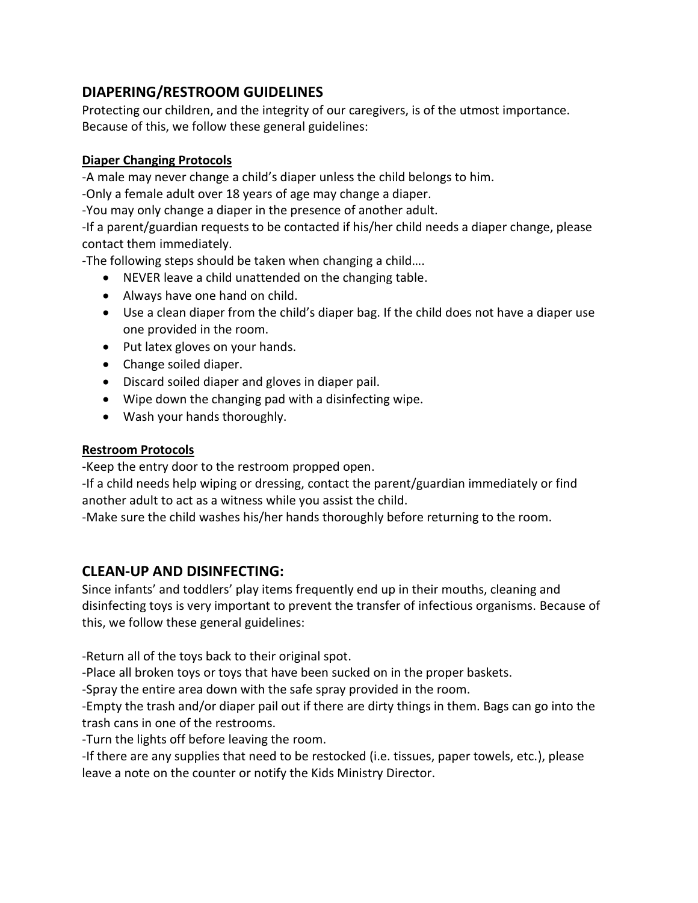# **DIAPERING/RESTROOM GUIDELINES**

Protecting our children, and the integrity of our caregivers, is of the utmost importance. Because of this, we follow these general guidelines:

#### **Diaper Changing Protocols**

-A male may never change a child's diaper unless the child belongs to him.

-Only a female adult over 18 years of age may change a diaper.

-You may only change a diaper in the presence of another adult.

-If a parent/guardian requests to be contacted if his/her child needs a diaper change, please contact them immediately.

-The following steps should be taken when changing a child….

- NEVER leave a child unattended on the changing table.
- Always have one hand on child.
- Use a clean diaper from the child's diaper bag. If the child does not have a diaper use one provided in the room.
- Put latex gloves on your hands.
- Change soiled diaper.
- Discard soiled diaper and gloves in diaper pail.
- Wipe down the changing pad with a disinfecting wipe.
- Wash your hands thoroughly.

## **Restroom Protocols**

-Keep the entry door to the restroom propped open.

-If a child needs help wiping or dressing, contact the parent/guardian immediately or find another adult to act as a witness while you assist the child.

-Make sure the child washes his/her hands thoroughly before returning to the room.

# **CLEAN-UP AND DISINFECTING:**

Since infants' and toddlers' play items frequently end up in their mouths, cleaning and disinfecting toys is very important to prevent the transfer of infectious organisms. Because of this, we follow these general guidelines:

-Return all of the toys back to their original spot.

-Place all broken toys or toys that have been sucked on in the proper baskets.

-Spray the entire area down with the safe spray provided in the room.

-Empty the trash and/or diaper pail out if there are dirty things in them. Bags can go into the trash cans in one of the restrooms.

-Turn the lights off before leaving the room.

-If there are any supplies that need to be restocked (i.e. tissues, paper towels, etc.), please leave a note on the counter or notify the Kids Ministry Director.